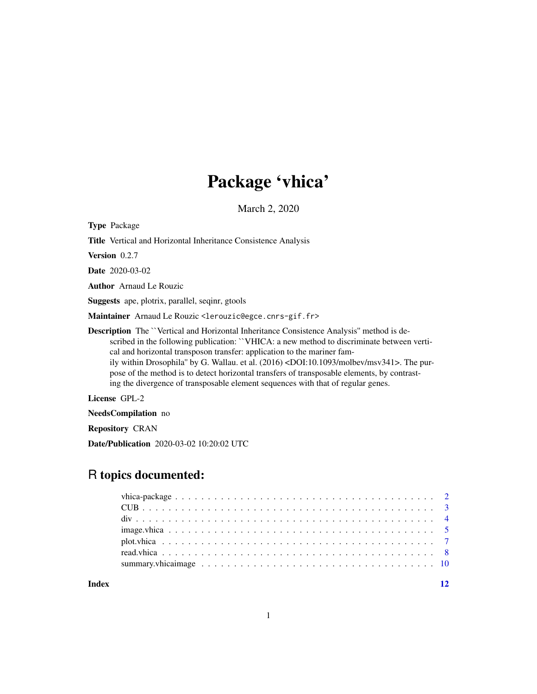# Package 'vhica'

March 2, 2020

<span id="page-0-0"></span>Type Package

Title Vertical and Horizontal Inheritance Consistence Analysis

Version 0.2.7

Date 2020-03-02

Author Arnaud Le Rouzic

Suggests ape, plotrix, parallel, seqinr, gtools

Maintainer Arnaud Le Rouzic <lerouzic@egce.cnrs-gif.fr>

Description The ``Vertical and Horizontal Inheritance Consistence Analysis'' method is described in the following publication: ``VHICA: a new method to discriminate between vertical and horizontal transposon transfer: application to the mariner family within Drosophila'' by G. Wallau. et al. (2016) <DOI:10.1093/molbev/msv341>. The purpose of the method is to detect horizontal transfers of transposable elements, by contrasting the divergence of transposable element sequences with that of regular genes.

License GPL-2

NeedsCompilation no

Repository CRAN

Date/Publication 2020-03-02 10:20:02 UTC

## R topics documented:

**Index** [12](#page-11-0)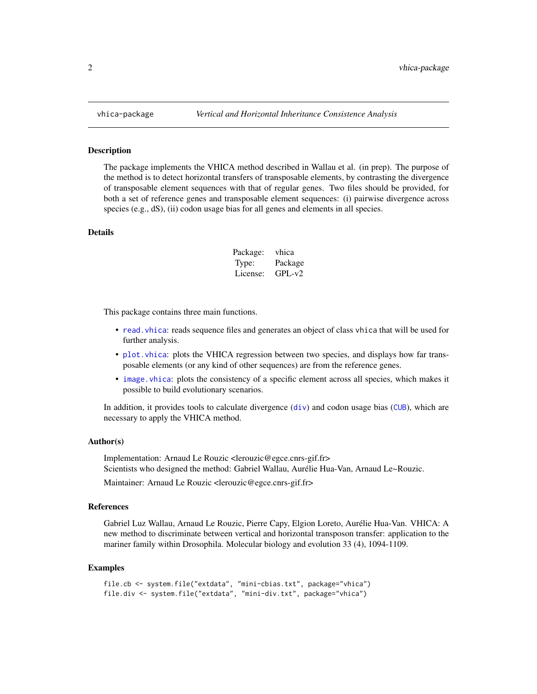The package implements the VHICA method described in Wallau et al. (in prep). The purpose of the method is to detect horizontal transfers of transposable elements, by contrasting the divergence of transposable element sequences with that of regular genes. Two files should be provided, for both a set of reference genes and transposable element sequences: (i) pairwise divergence across species (e.g., dS), (ii) codon usage bias for all genes and elements in all species.

#### Details

| Package: | vhica    |
|----------|----------|
| Type:    | Package  |
| License: | $GPL-v2$ |

This package contains three main functions.

- [read.vhica](#page-7-1): reads sequence files and generates an object of class vhica that will be used for further analysis.
- [plot.vhica](#page-6-1): plots the VHICA regression between two species, and displays how far transposable elements (or any kind of other sequences) are from the reference genes.
- image. vhica: plots the consistency of a specific element across all species, which makes it possible to build evolutionary scenarios.

In addition, it provides tools to calculate [div](#page-3-1)ergence  $\left(\frac{div}{v}\right)$  and codon usage bias ([CUB](#page-2-1)), which are necessary to apply the VHICA method.

#### Author(s)

Implementation: Arnaud Le Rouzic <lerouzic@egce.cnrs-gif.fr> Scientists who designed the method: Gabriel Wallau, Aurélie Hua-Van, Arnaud Le~Rouzic.

Maintainer: Arnaud Le Rouzic <lerouzic@egce.cnrs-gif.fr>

#### References

Gabriel Luz Wallau, Arnaud Le Rouzic, Pierre Capy, Elgion Loreto, Aurélie Hua-Van. VHICA: A new method to discriminate between vertical and horizontal transposon transfer: application to the mariner family within Drosophila. Molecular biology and evolution 33 (4), 1094-1109.

```
file.cb <- system.file("extdata", "mini-cbias.txt", package="vhica")
file.div <- system.file("extdata", "mini-div.txt", package="vhica")
```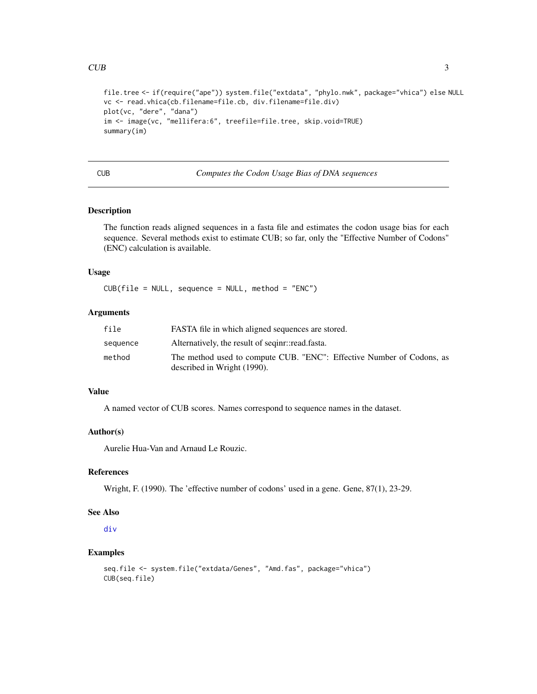```
file.tree <- if(require("ape")) system.file("extdata", "phylo.nwk", package="vhica") else NULL
vc <- read.vhica(cb.filename=file.cb, div.filename=file.div)
plot(vc, "dere", "dana")
im <- image(vc, "mellifera:6", treefile=file.tree, skip.void=TRUE)
summary(im)
```
CUB *Computes the Codon Usage Bias of DNA sequences*

#### Description

The function reads aligned sequences in a fasta file and estimates the codon usage bias for each sequence. Several methods exist to estimate CUB; so far, only the "Effective Number of Codons" (ENC) calculation is available.

#### Usage

 $CUB(file = NULL, sequence = NULL, method = "ENC")$ 

#### Arguments

| file     | FASTA file in which aligned sequences are stored.                                                    |
|----------|------------------------------------------------------------------------------------------------------|
| sequence | Alternatively, the result of seginr::read.fasta.                                                     |
| method   | The method used to compute CUB. "ENC": Effective Number of Codons, as<br>described in Wright (1990). |

#### Value

A named vector of CUB scores. Names correspond to sequence names in the dataset.

#### Author(s)

Aurelie Hua-Van and Arnaud Le Rouzic.

#### References

Wright, F. (1990). The 'effective number of codons' used in a gene. Gene, 87(1), 23-29.

#### See Also

[div](#page-3-1)

```
seq.file <- system.file("extdata/Genes", "Amd.fas", package="vhica")
CUB(seq.file)
```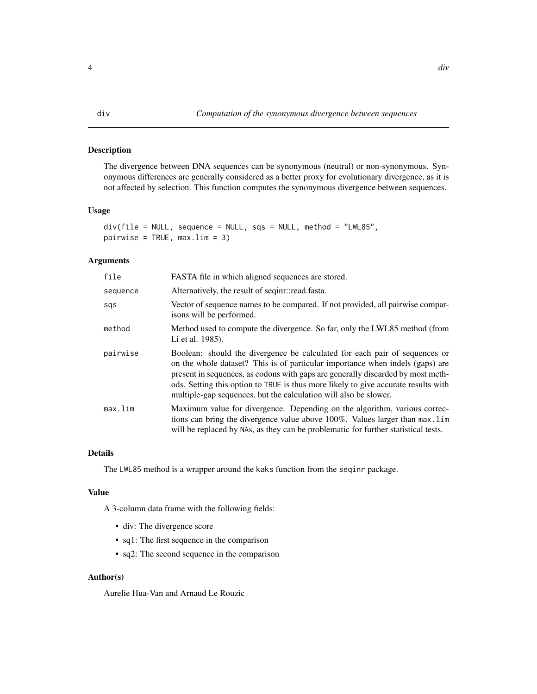<span id="page-3-1"></span><span id="page-3-0"></span>The divergence between DNA sequences can be synonymous (neutral) or non-synonymous. Synonymous differences are generally considered as a better proxy for evolutionary divergence, as it is not affected by selection. This function computes the synonymous divergence between sequences.

#### Usage

```
div(file = NULL, sequence = NULL, sqs = NULL, method = "LWL85",
pairwise = TRUE, max.lim = 3)
```
#### Arguments

| file     | FASTA file in which aligned sequences are stored.                                                                                                                                                                                                                                                                                                                                                        |
|----------|----------------------------------------------------------------------------------------------------------------------------------------------------------------------------------------------------------------------------------------------------------------------------------------------------------------------------------------------------------------------------------------------------------|
| sequence | Alternatively, the result of seginr::read.fasta.                                                                                                                                                                                                                                                                                                                                                         |
| sqs      | Vector of sequence names to be compared. If not provided, all pairwise compar-<br>isons will be performed.                                                                                                                                                                                                                                                                                               |
| method   | Method used to compute the divergence. So far, only the LWL85 method (from<br>Li et al. 1985).                                                                                                                                                                                                                                                                                                           |
| pairwise | Boolean: should the divergence be calculated for each pair of sequences or<br>on the whole dataset? This is of particular importance when indels (gaps) are<br>present in sequences, as codons with gaps are generally discarded by most meth-<br>ods. Setting this option to TRUE is thus more likely to give accurate results with<br>multiple-gap sequences, but the calculation will also be slower. |
| max.lim  | Maximum value for divergence. Depending on the algorithm, various correc-<br>tions can bring the divergence value above 100%. Values larger than max. lim<br>will be replaced by NAs, as they can be problematic for further statistical tests.                                                                                                                                                          |

#### Details

The LWL85 method is a wrapper around the kaks function from the seqinr package.

#### Value

A 3-column data frame with the following fields:

- div: The divergence score
- sq1: The first sequence in the comparison
- sq2: The second sequence in the comparison

### Author(s)

Aurelie Hua-Van and Arnaud Le Rouzic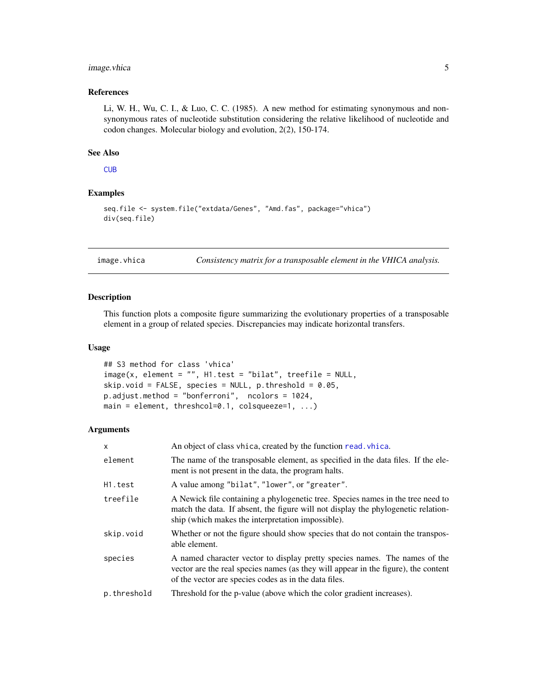#### <span id="page-4-0"></span>image. vhica 5

#### References

Li, W. H., Wu, C. I., & Luo, C. C. (1985). A new method for estimating synonymous and nonsynonymous rates of nucleotide substitution considering the relative likelihood of nucleotide and codon changes. Molecular biology and evolution, 2(2), 150-174.

#### See Also

**[CUB](#page-2-1)** 

#### Examples

```
seq.file <- system.file("extdata/Genes", "Amd.fas", package="vhica")
div(seq.file)
```
<span id="page-4-1"></span>image.vhica *Consistency matrix for a transposable element in the VHICA analysis.*

#### Description

This function plots a composite figure summarizing the evolutionary properties of a transposable element in a group of related species. Discrepancies may indicate horizontal transfers.

#### Usage

```
## S3 method for class 'vhica'
image(x, element = "", H1.test = "bilat", treefile = NULL,skip.void = FALSE, species = NULL, p. threshold = 0.05,
p.adjust.method = "bonferroni", ncolors = 1024,
main = element, threshcol=0.1, colsqueeze=1, ...)
```
#### Arguments

| $\mathsf{x}$ | An object of class vhica, created by the function read. vhica.                                                                                                                                                            |
|--------------|---------------------------------------------------------------------------------------------------------------------------------------------------------------------------------------------------------------------------|
| element      | The name of the transposable element, as specified in the data files. If the ele-<br>ment is not present in the data, the program halts.                                                                                  |
| H1.test      | A value among "bilat", "lower", or "greater".                                                                                                                                                                             |
| treefile     | A Newick file containing a phylogenetic tree. Species names in the tree need to<br>match the data. If absent, the figure will not display the phylogenetic relation-<br>ship (which makes the interpretation impossible). |
| skip.void    | Whether or not the figure should show species that do not contain the transpos-<br>able element.                                                                                                                          |
| species      | A named character vector to display pretty species names. The names of the<br>vector are the real species names (as they will appear in the figure), the content<br>of the vector are species codes as in the data files. |
| p.threshold  | Threshold for the p-value (above which the color gradient increases).                                                                                                                                                     |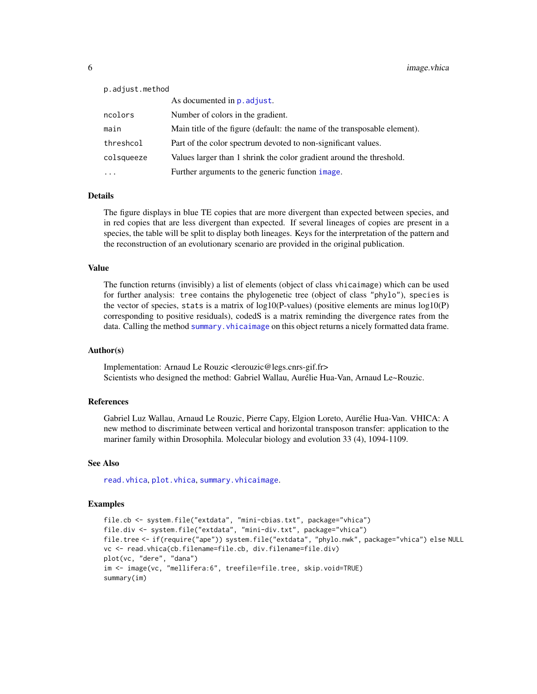<span id="page-5-0"></span>

| p.adjust.method                                                           |
|---------------------------------------------------------------------------|
| As documented in p. adjust.                                               |
| Number of colors in the gradient.                                         |
| Main title of the figure (default: the name of the transposable element). |
| Part of the color spectrum devoted to non-significant values.             |
| Values larger than 1 shrink the color gradient around the threshold.      |
| Further arguments to the generic function image.                          |
|                                                                           |

#### Details

The figure displays in blue TE copies that are more divergent than expected between species, and in red copies that are less divergent than expected. If several lineages of copies are present in a species, the table will be split to display both lineages. Keys for the interpretation of the pattern and the reconstruction of an evolutionary scenario are provided in the original publication.

#### Value

The function returns (invisibly) a list of elements (object of class vhicaimage) which can be used for further analysis: tree contains the phylogenetic tree (object of class "phylo"), species is the vector of species, stats is a matrix of  $log 10(P$ -values) (positive elements are minus  $log 10(P)$ corresponding to positive residuals), codedS is a matrix reminding the divergence rates from the data. Calling the method summary. vhicaimage on this object returns a nicely formatted data frame.

#### Author(s)

Implementation: Arnaud Le Rouzic <lerouzic@legs.cnrs-gif.fr> Scientists who designed the method: Gabriel Wallau, Aurélie Hua-Van, Arnaud Le~Rouzic.

#### References

Gabriel Luz Wallau, Arnaud Le Rouzic, Pierre Capy, Elgion Loreto, Aurélie Hua-Van. VHICA: A new method to discriminate between vertical and horizontal transposon transfer: application to the mariner family within Drosophila. Molecular biology and evolution 33 (4), 1094-1109.

#### See Also

[read.vhica](#page-7-1), [plot.vhica](#page-6-1), [summary.vhicaimage](#page-9-1).

```
file.cb <- system.file("extdata", "mini-cbias.txt", package="vhica")
file.div <- system.file("extdata", "mini-div.txt", package="vhica")
file.tree <- if(require("ape")) system.file("extdata", "phylo.nwk", package="vhica") else NULL
vc <- read.vhica(cb.filename=file.cb, div.filename=file.div)
plot(vc, "dere", "dana")
im <- image(vc, "mellifera:6", treefile=file.tree, skip.void=TRUE)
summary(im)
```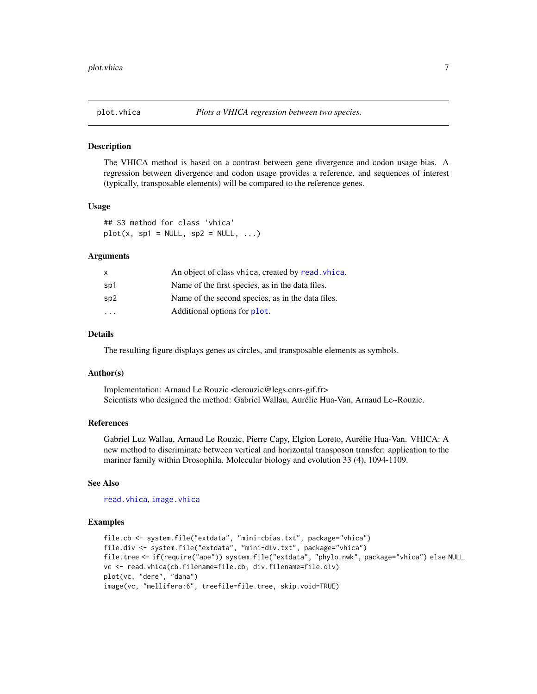<span id="page-6-1"></span><span id="page-6-0"></span>

The VHICA method is based on a contrast between gene divergence and codon usage bias. A regression between divergence and codon usage provides a reference, and sequences of interest (typically, transposable elements) will be compared to the reference genes.

#### Usage

## S3 method for class 'vhica'  $plot(x, sp1 = NULL, sp2 = NULL, ...)$ 

#### Arguments

| X                       | An object of class vhica, created by read. vhica. |
|-------------------------|---------------------------------------------------|
| sp1                     | Name of the first species, as in the data files.  |
| sp2                     | Name of the second species, as in the data files. |
| $\cdot$ $\cdot$ $\cdot$ | Additional options for plot.                      |

#### Details

The resulting figure displays genes as circles, and transposable elements as symbols.

#### Author(s)

Implementation: Arnaud Le Rouzic <lerouzic@legs.cnrs-gif.fr> Scientists who designed the method: Gabriel Wallau, Aurélie Hua-Van, Arnaud Le~Rouzic.

#### References

Gabriel Luz Wallau, Arnaud Le Rouzic, Pierre Capy, Elgion Loreto, Aurélie Hua-Van. VHICA: A new method to discriminate between vertical and horizontal transposon transfer: application to the mariner family within Drosophila. Molecular biology and evolution 33 (4), 1094-1109.

#### See Also

[read.vhica](#page-7-1), [image.vhica](#page-4-1)

```
file.cb <- system.file("extdata", "mini-cbias.txt", package="vhica")
file.div <- system.file("extdata", "mini-div.txt", package="vhica")
file.tree <- if(require("ape")) system.file("extdata", "phylo.nwk", package="vhica") else NULL
vc <- read.vhica(cb.filename=file.cb, div.filename=file.div)
plot(vc, "dere", "dana")
image(vc, "mellifera:6", treefile=file.tree, skip.void=TRUE)
```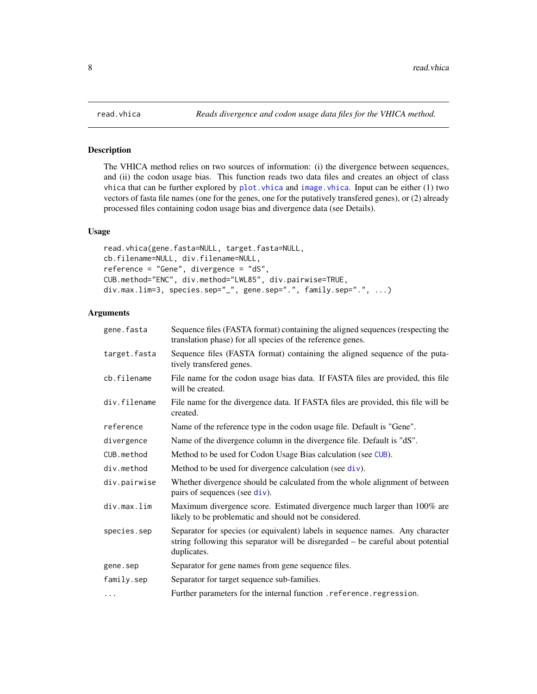The VHICA method relies on two sources of information: (i) the divergence between sequences, and (ii) the codon usage bias. This function reads two data files and creates an object of class vhica that can be further explored by  $plot.$  vhica and image. vhica. Input can be either  $(1)$  two vectors of fasta file names (one for the genes, one for the putatively transfered genes), or (2) already processed files containing codon usage bias and divergence data (see Details).

#### Usage

```
read.vhica(gene.fasta=NULL, target.fasta=NULL,
cb.filename=NULL, div.filename=NULL,
reference = "Gene", divergence = "dS",
CUB.method="ENC", div.method="LWL85", div.pairwise=TRUE,
div.max.lim=3, species.sep="_", gene.sep=".", family.sep=".", ...)
```
#### Arguments

| gene.fasta   | Sequence files (FASTA format) containing the aligned sequences (respecting the<br>translation phase) for all species of the reference genes.                                     |
|--------------|----------------------------------------------------------------------------------------------------------------------------------------------------------------------------------|
| target.fasta | Sequence files (FASTA format) containing the aligned sequence of the puta-<br>tively transfered genes.                                                                           |
| cb.filename  | File name for the codon usage bias data. If FASTA files are provided, this file<br>will be created.                                                                              |
| div.filename | File name for the divergence data. If FASTA files are provided, this file will be<br>created.                                                                                    |
| reference    | Name of the reference type in the codon usage file. Default is "Gene".                                                                                                           |
| divergence   | Name of the divergence column in the divergence file. Default is "dS".                                                                                                           |
| CUB.method   | Method to be used for Codon Usage Bias calculation (see CUB).                                                                                                                    |
| div.method   | Method to be used for divergence calculation (see $div$ ).                                                                                                                       |
| div.pairwise | Whether divergence should be calculated from the whole alignment of between<br>pairs of sequences (see $div$ ).                                                                  |
| div.max.lim  | Maximum divergence score. Estimated divergence much larger than 100% are<br>likely to be problematic and should not be considered.                                               |
| species.sep  | Separator for species (or equivalent) labels in sequence names. Any character<br>string following this separator will be disregarded – be careful about potential<br>duplicates. |
| gene.sep     | Separator for gene names from gene sequence files.                                                                                                                               |
| family.sep   | Separator for target sequence sub-families.                                                                                                                                      |
| .            | Further parameters for the internal function . reference. regression.                                                                                                            |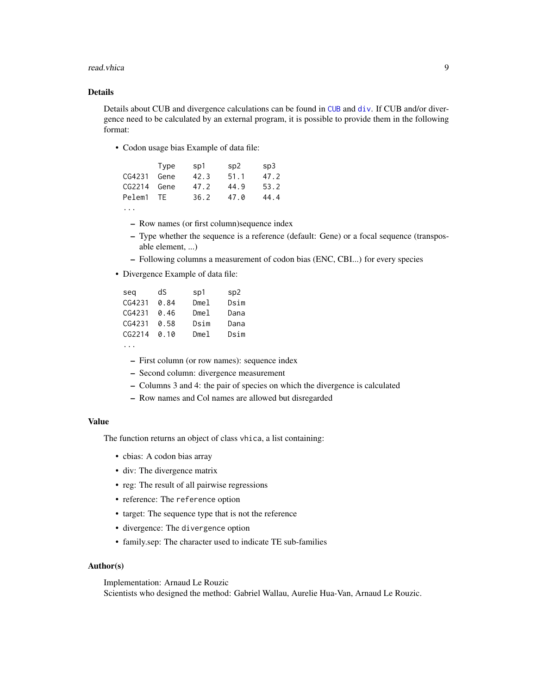#### read.vhica 9

#### Details

Details about CUB and divergence calculations can be found in [CUB](#page-2-1) and [div](#page-3-1). If CUB and/or divergence need to be calculated by an external program, it is possible to provide them in the following format:

• Codon usage bias Example of data file:

|             | Type | sp1  | sp2  | SD3  |
|-------------|------|------|------|------|
| CG4231      | Gene | 42.3 | 51.1 | 47.2 |
| CG2214 Gene |      | 47.2 | 44.9 | 53.2 |
| Pelem1      | -TF  | 36.2 | 47.0 | 44.4 |
|             |      |      |      |      |

- Row names (or first column)sequence index
- Type whether the sequence is a reference (default: Gene) or a focal sequence (transposable element, ...)
- Following columns a measurement of codon bias (ENC, CBI...) for every species
- Divergence Example of data file:

| seq    | dS   | sp1  | sp2  |
|--------|------|------|------|
| CG4231 | 0.84 | Dme1 | Dsim |
| CG4231 | 0.46 | Dme1 | Dana |
| CG4231 | 0.58 | Dsim | Dana |
| CG2214 | 0.10 | Dme1 | Dsim |
|        |      |      |      |

- ...
	- First column (or row names): sequence index
	- Second column: divergence measurement
	- Columns 3 and 4: the pair of species on which the divergence is calculated
	- Row names and Col names are allowed but disregarded

#### Value

The function returns an object of class vhica, a list containing:

- cbias: A codon bias array
- div: The divergence matrix
- reg: The result of all pairwise regressions
- reference: The reference option
- target: The sequence type that is not the reference
- divergence: The divergence option
- family.sep: The character used to indicate TE sub-families

#### Author(s)

Implementation: Arnaud Le Rouzic Scientists who designed the method: Gabriel Wallau, Aurelie Hua-Van, Arnaud Le Rouzic.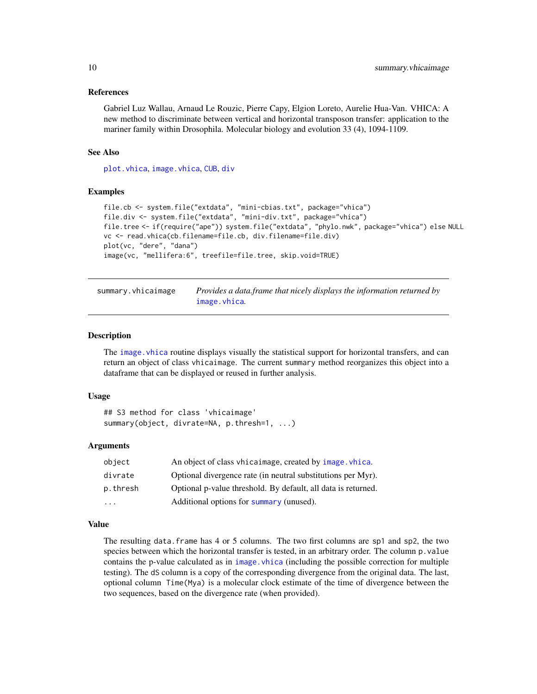#### <span id="page-9-0"></span>References

Gabriel Luz Wallau, Arnaud Le Rouzic, Pierre Capy, Elgion Loreto, Aurelie Hua-Van. VHICA: A new method to discriminate between vertical and horizontal transposon transfer: application to the mariner family within Drosophila. Molecular biology and evolution 33 (4), 1094-1109.

#### See Also

[plot.vhica](#page-6-1), [image.vhica](#page-4-1), [CUB](#page-2-1), [div](#page-3-1)

#### Examples

```
file.cb <- system.file("extdata", "mini-cbias.txt", package="vhica")
file.div <- system.file("extdata", "mini-div.txt", package="vhica")
file.tree <- if(require("ape")) system.file("extdata", "phylo.nwk", package="vhica") else NULL
vc <- read.vhica(cb.filename=file.cb, div.filename=file.div)
plot(vc, "dere", "dana")
image(vc, "mellifera:6", treefile=file.tree, skip.void=TRUE)
```
<span id="page-9-1"></span>

summary.vhicaimage *Provides a data.frame that nicely displays the information returned by* [image.vhica](#page-4-1)*.*

#### Description

The image. vhica routine displays visually the statistical support for horizontal transfers, and can return an object of class vhicaimage. The current summary method reorganizes this object into a dataframe that can be displayed or reused in further analysis.

#### Usage

```
## S3 method for class 'vhicaimage'
summary(object, divrate=NA, p.thresh=1, ...)
```
#### Arguments

| object   | An object of class vhicaimage, created by image. vhica.       |
|----------|---------------------------------------------------------------|
| divrate  | Optional divergence rate (in neutral substitutions per Myr).  |
| p.thresh | Optional p-value threshold. By default, all data is returned. |
| $\cdot$  | Additional options for summary (unused).                      |

#### Value

The resulting data, frame has 4 or 5 columns. The two first columns are sp1 and sp2, the two species between which the horizontal transfer is tested, in an arbitrary order. The column p.value contains the p-value calculated as in image, vhica (including the possible correction for multiple testing). The dS column is a copy of the corresponding divergence from the original data. The last, optional column Time(Mya) is a molecular clock estimate of the time of divergence between the two sequences, based on the divergence rate (when provided).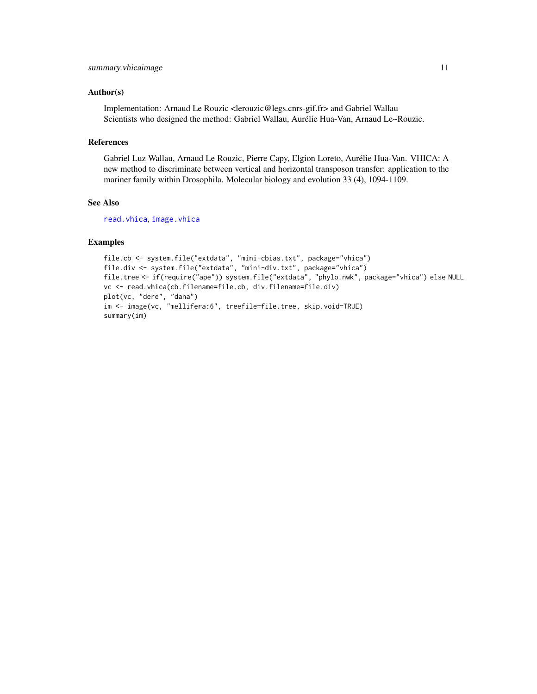#### <span id="page-10-0"></span>Author(s)

Implementation: Arnaud Le Rouzic <lerouzic@legs.cnrs-gif.fr> and Gabriel Wallau Scientists who designed the method: Gabriel Wallau, Aurélie Hua-Van, Arnaud Le~Rouzic.

#### References

Gabriel Luz Wallau, Arnaud Le Rouzic, Pierre Capy, Elgion Loreto, Aurélie Hua-Van. VHICA: A new method to discriminate between vertical and horizontal transposon transfer: application to the mariner family within Drosophila. Molecular biology and evolution 33 (4), 1094-1109.

#### See Also

[read.vhica](#page-7-1), [image.vhica](#page-4-1)

```
file.cb <- system.file("extdata", "mini-cbias.txt", package="vhica")
file.div <- system.file("extdata", "mini-div.txt", package="vhica")
file.tree <- if(require("ape")) system.file("extdata", "phylo.nwk", package="vhica") else NULL
vc <- read.vhica(cb.filename=file.cb, div.filename=file.div)
plot(vc, "dere", "dana")
im <- image(vc, "mellifera:6", treefile=file.tree, skip.void=TRUE)
summary(im)
```